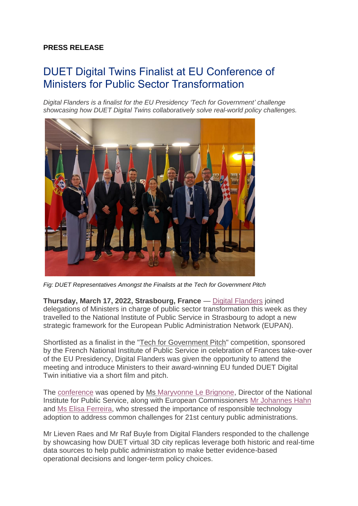## **PRESS RELEASE**

## DUET Digital Twins Finalist at EU Conference of Ministers for Public Sector Transformation

*Digital Flanders is a finalist for the EU Presidency 'Tech for Government' challenge showcasing how DUET Digital Twins collaboratively solve real-world policy challenges.* 



*Fig: DUET Representatives Amongst the Finalists at the Tech for Government Pitch*

**Thursday, March 17, 2022, Strasbourg, France** — [Digital Flanders](https://www.vlaanderen.be/digitaal-vlaanderen) joined delegations of Ministers in charge of public sector transformation this week as they travelled to the National Institute of Public Service in Strasbourg to adopt a new strategic framework for the European Public Administration Network (EUPAN).

Shortlisted as a finalist in the "Tech for [Government](https://www.numerique.gouv.fr/actualites/transformation-numerique-presidence-francaise-du-conseil-union-europeenne/) Pitch" competition, sponsored by the French National Institute of Public Service in celebration of Frances take-over of the EU Presidency, Digital Flanders was given the opportunity to attend the meeting and introduce Ministers to their award-winning EU funded DUET Digital Twin initiative via a short film and pitch.

The [conference](https://presidence-francaise.consilium.europa.eu/en/news/conference-of-eu-ministers-for-public-sector-transformation-and-the-civil-service/) was opened by Ms [Maryvonne Le Brignone,](https://fr.wikipedia.org/wiki/Maryvonne_Le_Brignonen) Director of the National Institute for Public Service, along with European Commissioners [Mr Johannes Hahn](https://ec.europa.eu/commission/commissioners/2019-2024/hahn_en) and [Ms Elisa Ferreira,](https://ec.europa.eu/commission/commissioners/2019-2024/ferreira_en) who stressed the importance of responsible technology adoption to address common challenges for 21st century public administrations.

Mr Lieven Raes and Mr Raf Buyle from Digital Flanders responded to the challenge by showcasing how DUET virtual 3D city replicas leverage both historic and real-time data sources to help public administration to make better evidence-based operational decisions and longer-term policy choices.